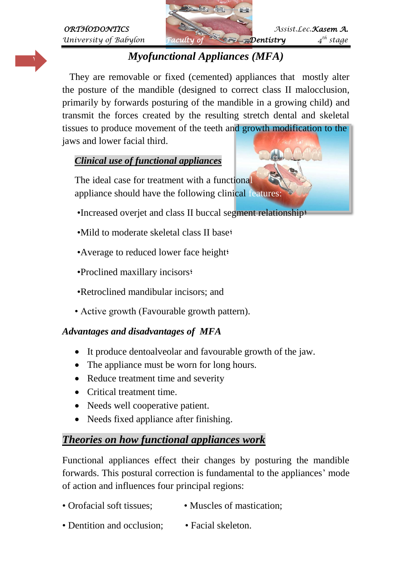

# <sup>1</sup> *Myofunctional Appliances (MFA)*

 They are removable or fixed (cemented) appliances that mostly alter the posture of the mandible (designed to correct class II malocclusion, primarily by forwards posturing of the mandible in a growing child) and transmit the forces created by the resulting stretch dental and skeletal tissues to produce movement of the teeth and growth modification to the jaws and lower facial third.

#### *Clinical use of functional appliances*

The ideal case for treatment with a functional appliance should have the following clinical features:

- •Increased overjet and class II buccal segment relationship;
- •Mild to moderate skeletal class II base;
- •Average to reduced lower face height;
- •Proclined maxillary incisors;
- •Retroclined mandibular incisors; and
- Active growth (Favourable growth pattern).

#### *Advantages and disadvantages of MFA*

- It produce dentoalveolar and favourable growth of the jaw.
- The appliance must be worn for long hours.
- Reduce treatment time and severity
- Critical treatment time.
- Needs well cooperative patient.
- Needs fixed appliance after finishing.

### *Theories on how functional appliances work*

Functional appliances effect their changes by posturing the mandible forwards. This postural correction is fundamental to the appliances' mode of action and influences four principal regions:

- Orofacial soft tissues: Muscles of mastication:
- Dentition and occlusion: Facial skeleton.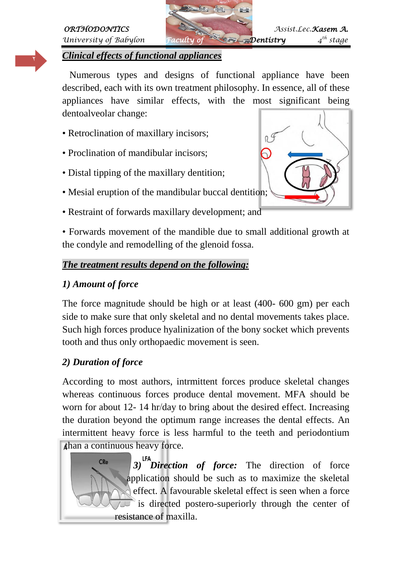# *University of Babylon Faculty of* **Faculty** *Faculty of*





#### *Clinical effects of functional appliances*

 Numerous types and designs of functional appliance have been described, each with its own treatment philosophy. In essence, all of these appliances have similar effects, with the most significant being dentoalveolar change:

- Retroclination of maxillary incisors;
- Proclination of mandibular incisors;
- Distal tipping of the maxillary dentition;
- Mesial eruption of the mandibular buccal dentition;
- Restraint of forwards maxillary development; and

• Forwards movement of the mandible due to small additional growth at the condyle and remodelling of the glenoid fossa.

#### *The treatment results depend on the following:*

### *1) Amount of force*

The force magnitude should be high or at least (400- 600 gm) per each side to make sure that only skeletal and no dental movements takes place. Such high forces produce hyalinization of the bony socket which prevents tooth and thus only orthopaedic movement is seen.

### *2) Duration of force*

According to most authors, intrmittent forces produce skeletal changes whereas continuous forces produce dental movement. MFA should be worn for about 12- 14 hr/day to bring about the desired effect. Increasing the duration beyond the optimum range increases the dental effects. An intermittent heavy force is less harmful to the teeth and periodontium than a continuous heavy force.

**CRe**  *3) Direction of force:* The direction of force application should be such as to maximize the skeletal effect. A favourable skeletal effect is seen when a force is directed postero-superiorly through the center of resistance of maxilla.

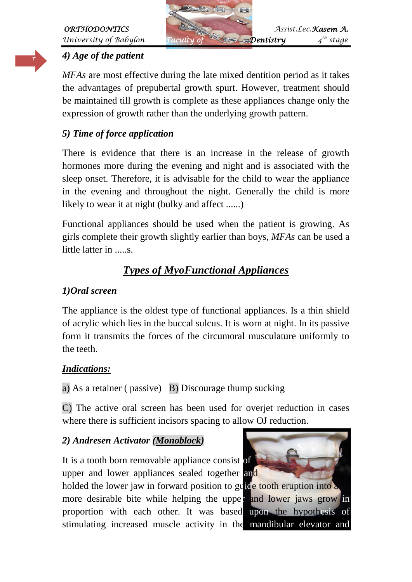

# *4) Age of the patient*

*MFAs* are most effective during the late mixed dentition period as it takes the advantages of prepubertal growth spurt. However, treatment should be maintained till growth is complete as these appliances change only the expression of growth rather than the underlying growth pattern.

#### *5) Time of force application*

There is evidence that there is an increase in the release of growth hormones more during the evening and night and is associated with the sleep onset. Therefore, it is advisable for the child to wear the appliance in the evening and throughout the night. Generally the child is more likely to wear it at night (bulky and affect ......)

Functional appliances should be used when the patient is growing. As girls complete their growth slightly earlier than boys, *MFAs* can be used a little latter in .....s.

# *Types of MyoFunctional Appliances*

#### *1)Oral screen*

The appliance is the oldest type of functional appliances. Is a thin shield of acrylic which lies in the buccal sulcus. It is worn at night. In its passive form it transmits the forces of the circumoral musculature uniformly to the teeth.

#### *Indications:*

a) As a retainer ( passive) B) Discourage thump sucking

C) The active oral screen has been used for overjet reduction in cases where there is sufficient incisors spacing to allow OJ reduction.

#### *2) Andresen Activator (Monoblock)*

It is a tooth born removable appliance consist of upper and lower appliances sealed together and

holded the lower jaw in forward position to guide tooth eruption into more desirable bite while helping the upper and lower jaws grow in proportion with each other. It was based upon the hypothesis of stimulating increased muscle activity in the mandibular elevator and

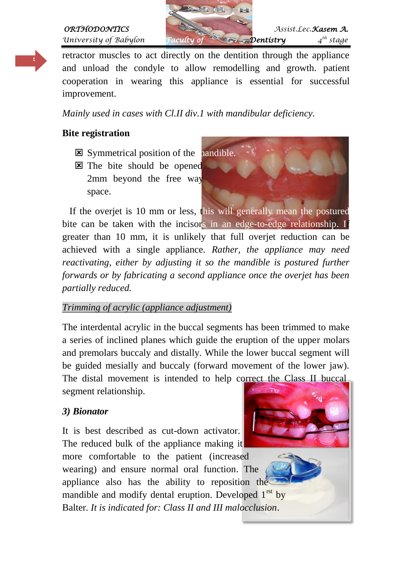*University of Babylon Faculty of Faculty of Participal* 





retractor muscles to act directly on the dentition through the appliance and unload the condyle to allow remodelling and growth. patient cooperation in wearing this appliance is essential for successful improvement.

*Mainly used in cases with Cl.II div.1 with mandibular deficiency.*

### **Bite registration**

- $\boxtimes$  Symmetrical position of the nandible.
- **E** The bite should be opened 2mm beyond the free way space.



 If the overjet is 10 mm or less, this will generally mean the postured bite can be taken with the incisors in an edge-to-edge relationship. If greater than 10 mm, it is unlikely that full overjet reduction can be achieved with a single appliance. *Rather, the appliance may need reactivating, either by adjusting it so the mandible is postured further forwards or by fabricating a second appliance once the overjet has been partially reduced.*

#### *Trimming of acrylic (appliance adjustment)*

The interdental acrylic in the buccal segments has been trimmed to make a series of inclined planes which guide the eruption of the upper molars and premolars buccaly and distally. While the lower buccal segment will be guided mesially and buccaly (forward movement of the lower jaw). The distal movement is intended to help correct the Class II buccal segment relationship.

### *3) Bionator*

It is best described as cut-down activator. The reduced bulk of the appliance making it more comfortable to the patient (increased wearing) and ensure normal oral function. The appliance also has the ability to reposition the mandible and modify dental eruption. Developed  $1<sup>rst</sup>$  by Balter*. It is indicated for: Class II and III malocclusion*.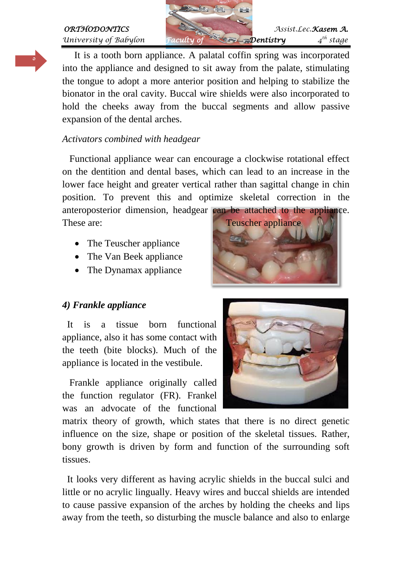#### *ORTHODONTICS Assist.Lec.Kasem A. University of Babylon Faculty of* **Faculty** *Faculty of*  $\sim$  *Dentistry*

*th stage*



 It is a tooth born appliance. A palatal coffin spring was incorporated into the appliance and designed to sit away from the palate, stimulating the tongue to adopt a more anterior position and helping to stabilize the bionator in the oral cavity. Buccal wire shields were also incorporated to hold the cheeks away from the buccal segments and allow passive expansion of the dental arches.

#### *Activators combined with headgear*

 Functional appliance wear can encourage a clockwise rotational effect on the dentition and dental bases, which can lead to an increase in the lower face height and greater vertical rather than sagittal change in chin position. To prevent this and optimize skeletal correction in the anteroposterior dimension, headgear can be attached to the appliance.

- The Teuscher appliance
- The Van Beek appliance
- The Dynamax appliance

#### *4) Frankle appliance*

 It is a tissue born functional appliance, also it has some contact with the teeth (bite blocks). Much of the appliance is located in the vestibule.

 Frankle appliance originally called the function regulator (FR). Frankel was an advocate of the functional





matrix theory of growth, which states that there is no direct genetic influence on the size, shape or position of the skeletal tissues. Rather, bony growth is driven by form and function of the surrounding soft tissues.

 It looks very different as having acrylic shields in the buccal sulci and little or no acrylic lingually. Heavy wires and buccal shields are intended to cause passive expansion of the arches by holding the cheeks and lips away from the teeth, so disturbing the muscle balance and also to enlarge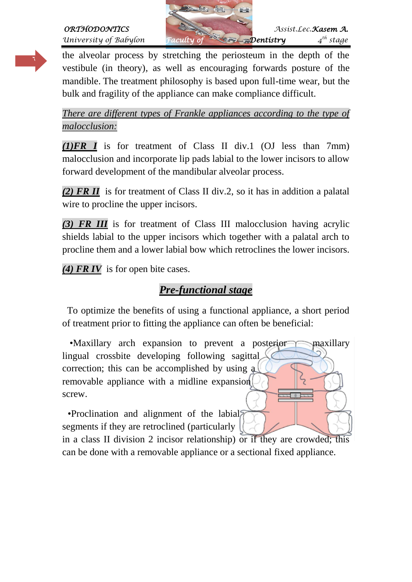

*University of Babylon Faculty of* **Faculty** *Faculty of*  $\sim$  *Dentistry* 

٦

the alveolar process by stretching the periosteum in the depth of the vestibule (in theory), as well as encouraging forwards posture of the mandible. The treatment philosophy is based upon full-time wear, but the bulk and fragility of the appliance can make compliance difficult.

*There are different types of Frankle appliances according to the type of malocclusion:*

*(1)FR I* is for treatment of Class II div.1 (OJ less than 7mm) malocclusion and incorporate lip pads labial to the lower incisors to allow forward development of the mandibular alveolar process.

*(2) FR II* is for treatment of Class II div.2, so it has in addition a palatal wire to procline the upper incisors.

*(3) FR III* is for treatment of Class III malocclusion having acrylic shields labial to the upper incisors which together with a palatal arch to procline them and a lower labial bow which retroclines the lower incisors.

*(4) FR IV* is for open bite cases.

# *Pre-functional stage*

 To optimize the benefits of using a functional appliance, a short period of treatment prior to fitting the appliance can often be beneficial:

•Maxillary arch expansion to prevent a posterior maxillary lingual crossbite developing following sagittal correction; this can be accomplished by using a removable appliance with a midline expansion screw.

 •Proclination and alignment of the labial segments if they are retroclined (particularly

in a class II division 2 incisor relationship) or if they are crowded; this can be done with a removable appliance or a sectional fixed appliance.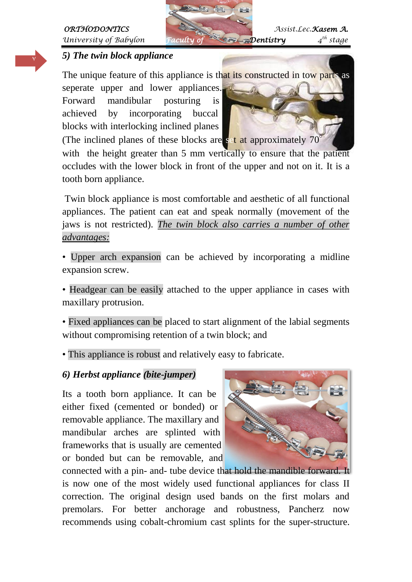Y



*th stage*

#### *5) The twin block appliance*

The unique feature of this appliance is that its constructed in tow parts as

seperate upper and lower appliances. Forward mandibular posturing is achieved by incorporating buccal blocks with interlocking inclined planes



(The inclined planes of these blocks are set at approximately 70°) with the height greater than 5 mm vertically to ensure that the patient occludes with the lower block in front of the upper and not on it. It is a tooth born appliance.

Twin block appliance is most comfortable and aesthetic of all functional appliances. The patient can eat and speak normally (movement of the jaws is not restricted). *The twin block also carries a number of other advantages:*

• Upper arch expansion can be achieved by incorporating a midline expansion screw.

• Headgear can be easily attached to the upper appliance in cases with maxillary protrusion.

• Fixed appliances can be placed to start alignment of the labial segments without compromising retention of a twin block; and

• This appliance is robust and relatively easy to fabricate.

#### *6) Herbst appliance (bite-jumper)*

Its a tooth born appliance. It can be either fixed (cemented or bonded) or removable appliance. The maxillary and mandibular arches are splinted with frameworks that is usually are cemented or bonded but can be removable, and



connected with a pin- and- tube device that hold the mandible forward. It is now one of the most widely used functional appliances for class II correction. The original design used bands on the first molars and premolars. For better anchorage and robustness, Pancherz now recommends using cobalt-chromium cast splints for the super-structure.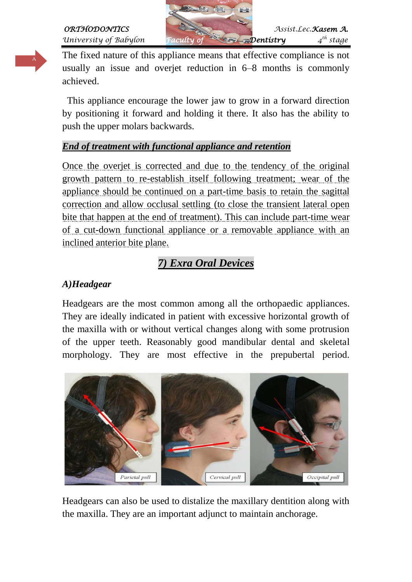The fixed nature of this appliance means that effective compliance is not usually an issue and overjet reduction in 6–8 months is commonly achieved.

 This appliance encourage the lower jaw to grow in a forward direction by positioning it forward and holding it there. It also has the ability to push the upper molars backwards.

#### *End of treatment with functional appliance and retention*

Once the overjet is corrected and due to the tendency of the original growth pattern to re-establish itself following treatment; wear of the appliance should be continued on a part-time basis to retain the sagittal correction and allow occlusal settling (to close the transient lateral open bite that happen at the end of treatment). This can include part-time wear of a cut-down functional appliance or a removable appliance with an inclined anterior bite plane.

# *7) Exra Oral Devices*

## *A)Headgear*

Headgears are the most common among all the orthopaedic appliances. They are ideally indicated in patient with excessive horizontal growth of the maxilla with or without vertical changes along with some protrusion of the upper teeth. Reasonably good mandibular dental and skeletal morphology. They are most effective in the prepubertal period.



Headgears can also be used to distalize the maxillary dentition along with the maxilla. They are an important adjunct to maintain anchorage.